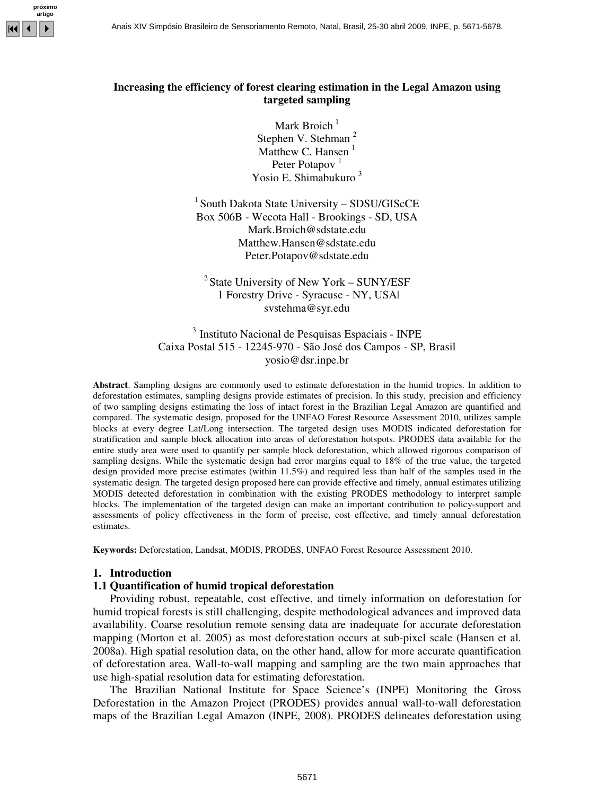

# **Increasing the efficiency of forest clearing estimation in the Legal Amazon using targeted sampling**

Mark Broich<sup>1</sup> Stephen V. Stehman<sup>2</sup> Matthew C. Hansen $<sup>1</sup>$ </sup> Peter Potapov<sup>1</sup> Yosio E. Shimabukuro <sup>3</sup>

<sup>1</sup> South Dakota State University - SDSU/GIScCE Box 506B - Wecota Hall - Brookings - SD, USA Mark.Broich@sdstate.edu Matthew.Hansen@sdstate.edu Peter.Potapov@sdstate.edu

<sup>2</sup> State University of New York – SUNY/ESF 1 Forestry Drive - Syracuse - NY, USA| svstehma@syr.edu

<sup>3</sup> Instituto Nacional de Pesquisas Espaciais - INPE Caixa Postal 515 - 12245-970 - São José dos Campos - SP, Brasil yosio@dsr.inpe.br

**Abstract**. Sampling designs are commonly used to estimate deforestation in the humid tropics. In addition to deforestation estimates, sampling designs provide estimates of precision. In this study, precision and efficiency of two sampling designs estimating the loss of intact forest in the Brazilian Legal Amazon are quantified and compared. The systematic design, proposed for the UNFAO Forest Resource Assessment 2010, utilizes sample blocks at every degree Lat/Long intersection. The targeted design uses MODIS indicated deforestation for stratification and sample block allocation into areas of deforestation hotspots. PRODES data available for the entire study area were used to quantify per sample block deforestation, which allowed rigorous comparison of sampling designs. While the systematic design had error margins equal to 18% of the true value, the targeted design provided more precise estimates (within 11.5%) and required less than half of the samples used in the systematic design. The targeted design proposed here can provide effective and timely, annual estimates utilizing MODIS detected deforestation in combination with the existing PRODES methodology to interpret sample blocks. The implementation of the targeted design can make an important contribution to policy-support and assessments of policy effectiveness in the form of precise, cost effective, and timely annual deforestation estimates.

**Keywords:** Deforestation, Landsat, MODIS, PRODES, UNFAO Forest Resource Assessment 2010.

#### **1. Introduction**

# **1.1 Quantification of humid tropical deforestation**

Providing robust, repeatable, cost effective, and timely information on deforestation for humid tropical forests is still challenging, despite methodological advances and improved data availability. Coarse resolution remote sensing data are inadequate for accurate deforestation mapping (Morton et al. 2005) as most deforestation occurs at sub-pixel scale (Hansen et al. 2008a). High spatial resolution data, on the other hand, allow for more accurate quantification of deforestation area. Wall-to-wall mapping and sampling are the two main approaches that use high-spatial resolution data for estimating deforestation.

The Brazilian National Institute for Space Science's (INPE) Monitoring the Gross Deforestation in the Amazon Project (PRODES) provides annual wall-to-wall deforestation maps of the Brazilian Legal Amazon (INPE, 2008). PRODES delineates deforestation using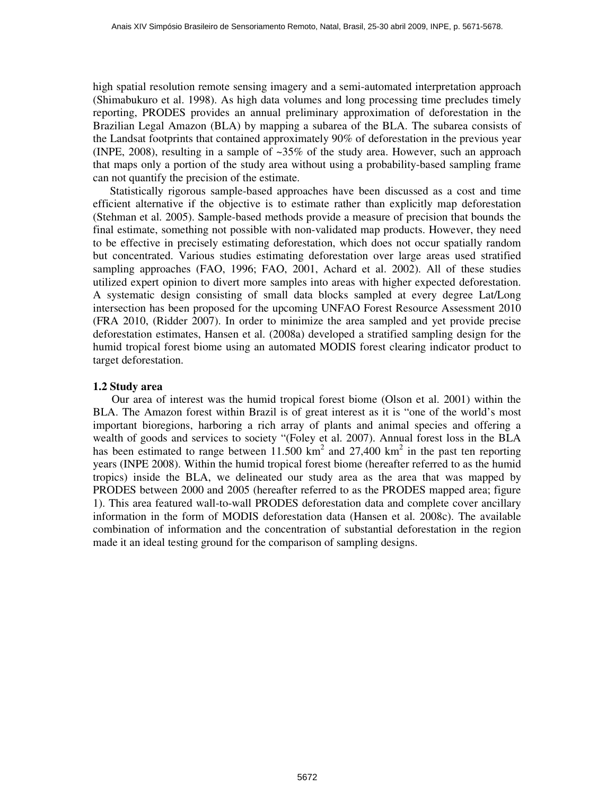high spatial resolution remote sensing imagery and a semi-automated interpretation approach (Shimabukuro et al. 1998). As high data volumes and long processing time precludes timely reporting, PRODES provides an annual preliminary approximation of deforestation in the Brazilian Legal Amazon (BLA) by mapping a subarea of the BLA. The subarea consists of the Landsat footprints that contained approximately 90% of deforestation in the previous year (INPE, 2008), resulting in a sample of  $\sim 35\%$  of the study area. However, such an approach that maps only a portion of the study area without using a probability-based sampling frame can not quantify the precision of the estimate.

Statistically rigorous sample-based approaches have been discussed as a cost and time efficient alternative if the objective is to estimate rather than explicitly map deforestation (Stehman et al. 2005). Sample-based methods provide a measure of precision that bounds the final estimate, something not possible with non-validated map products. However, they need to be effective in precisely estimating deforestation, which does not occur spatially random but concentrated. Various studies estimating deforestation over large areas used stratified sampling approaches (FAO, 1996; FAO, 2001, Achard et al. 2002). All of these studies utilized expert opinion to divert more samples into areas with higher expected deforestation. A systematic design consisting of small data blocks sampled at every degree Lat/Long intersection has been proposed for the upcoming UNFAO Forest Resource Assessment 2010 (FRA 2010, (Ridder 2007). In order to minimize the area sampled and yet provide precise deforestation estimates, Hansen et al. (2008a) developed a stratified sampling design for the humid tropical forest biome using an automated MODIS forest clearing indicator product to target deforestation.

# **1.2 Study area**

Our area of interest was the humid tropical forest biome (Olson et al. 2001) within the BLA. The Amazon forest within Brazil is of great interest as it is "one of the world's most important bioregions, harboring a rich array of plants and animal species and offering a wealth of goods and services to society "(Foley et al. 2007). Annual forest loss in the BLA has been estimated to range between  $11.500 \text{ km}^2$  and  $27,400 \text{ km}^2$  in the past ten reporting years (INPE 2008). Within the humid tropical forest biome (hereafter referred to as the humid tropics) inside the BLA, we delineated our study area as the area that was mapped by PRODES between 2000 and 2005 (hereafter referred to as the PRODES mapped area; figure 1). This area featured wall-to-wall PRODES deforestation data and complete cover ancillary information in the form of MODIS deforestation data (Hansen et al. 2008c). The available combination of information and the concentration of substantial deforestation in the region made it an ideal testing ground for the comparison of sampling designs.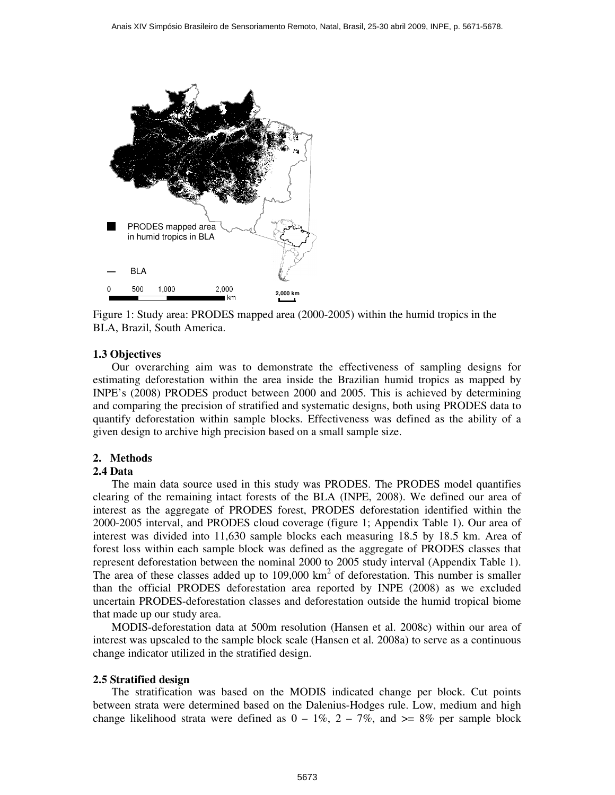

Figure 1: Study area: PRODES mapped area (2000-2005) within the humid tropics in the BLA, Brazil, South America.

# **1.3 Objectives**

Our overarching aim was to demonstrate the effectiveness of sampling designs for estimating deforestation within the area inside the Brazilian humid tropics as mapped by INPE's (2008) PRODES product between 2000 and 2005. This is achieved by determining and comparing the precision of stratified and systematic designs, both using PRODES data to quantify deforestation within sample blocks. Effectiveness was defined as the ability of a given design to archive high precision based on a small sample size.

## **2. Methods**

## **2.4 Data**

The main data source used in this study was PRODES. The PRODES model quantifies clearing of the remaining intact forests of the BLA (INPE, 2008). We defined our area of interest as the aggregate of PRODES forest, PRODES deforestation identified within the 2000-2005 interval, and PRODES cloud coverage (figure 1; Appendix Table 1). Our area of interest was divided into 11,630 sample blocks each measuring 18.5 by 18.5 km. Area of forest loss within each sample block was defined as the aggregate of PRODES classes that represent deforestation between the nominal 2000 to 2005 study interval (Appendix Table 1). The area of these classes added up to  $109,000 \text{ km}^2$  of deforestation. This number is smaller than the official PRODES deforestation area reported by INPE (2008) as we excluded uncertain PRODES-deforestation classes and deforestation outside the humid tropical biome that made up our study area.

MODIS-deforestation data at 500m resolution (Hansen et al. 2008c) within our area of interest was upscaled to the sample block scale (Hansen et al. 2008a) to serve as a continuous change indicator utilized in the stratified design.

## **2.5 Stratified design**

The stratification was based on the MODIS indicated change per block. Cut points between strata were determined based on the Dalenius-Hodges rule. Low, medium and high change likelihood strata were defined as  $0 - 1\%$ ,  $2 - 7\%$ , and  $\ge 8\%$  per sample block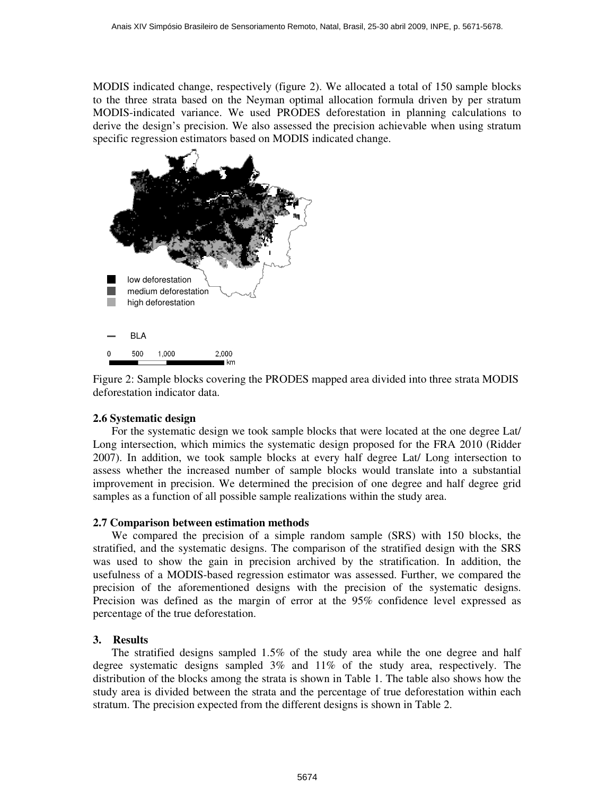MODIS indicated change, respectively (figure 2). We allocated a total of 150 sample blocks to the three strata based on the Neyman optimal allocation formula driven by per stratum MODIS-indicated variance. We used PRODES deforestation in planning calculations to derive the design's precision. We also assessed the precision achievable when using stratum specific regression estimators based on MODIS indicated change.



Figure 2: Sample blocks covering the PRODES mapped area divided into three strata MODIS deforestation indicator data.

# **2.6 Systematic design**

For the systematic design we took sample blocks that were located at the one degree Lat/ Long intersection, which mimics the systematic design proposed for the FRA 2010 (Ridder 2007). In addition, we took sample blocks at every half degree Lat/ Long intersection to assess whether the increased number of sample blocks would translate into a substantial improvement in precision. We determined the precision of one degree and half degree grid samples as a function of all possible sample realizations within the study area.

## **2.7 Comparison between estimation methods**

We compared the precision of a simple random sample (SRS) with 150 blocks, the stratified, and the systematic designs. The comparison of the stratified design with the SRS was used to show the gain in precision archived by the stratification. In addition, the usefulness of a MODIS-based regression estimator was assessed. Further, we compared the precision of the aforementioned designs with the precision of the systematic designs. Precision was defined as the margin of error at the 95% confidence level expressed as percentage of the true deforestation.

## **3. Results**

The stratified designs sampled 1.5% of the study area while the one degree and half degree systematic designs sampled 3% and 11% of the study area, respectively. The distribution of the blocks among the strata is shown in Table 1. The table also shows how the study area is divided between the strata and the percentage of true deforestation within each stratum. The precision expected from the different designs is shown in Table 2.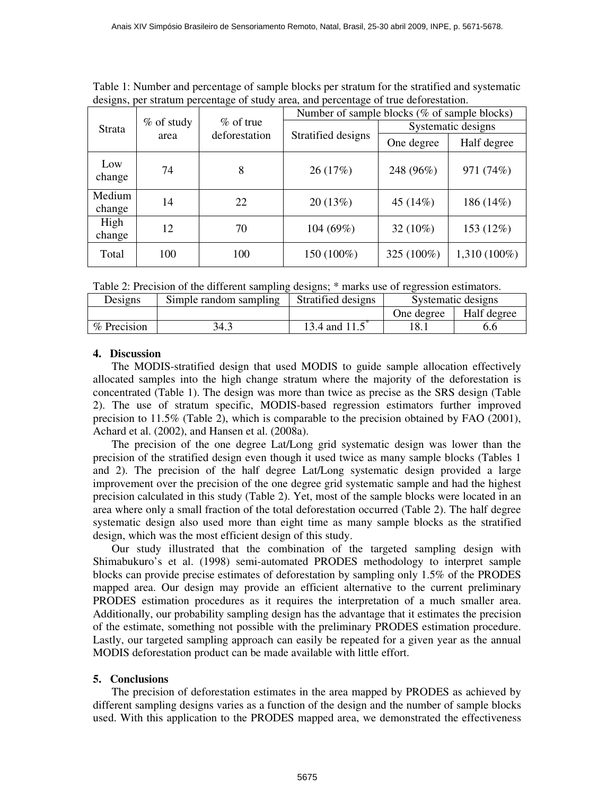Table 1: Number and percentage of sample blocks per stratum for the stratified and systematic designs, per stratum percentage of study area, and percentage of true deforestation.

| ັ<br><b>Strata</b> | % of study<br>area | $%$ of true<br>deforestation | Number of sample blocks (% of sample blocks) |                    |              |
|--------------------|--------------------|------------------------------|----------------------------------------------|--------------------|--------------|
|                    |                    |                              | Stratified designs                           | Systematic designs |              |
|                    |                    |                              |                                              | One degree         | Half degree  |
| Low<br>change      | 74                 | 8                            | 26(17%)                                      | 248 (96%)          | 971 (74%)    |
| Medium<br>change   | 14                 | 22                           | 20(13%)                                      | 45 (14%)           | 186 (14%)    |
| High<br>change     | 12                 | 70                           | 104 (69%)                                    | 32 (10%)           | 153 (12%)    |
| Total              | 100                | 100                          | 150 (100%)                                   | 325 (100%)         | 1,310 (100%) |

Table 2: Precision of the different sampling designs; \* marks use of regression estimators.

| Designs     | Simple random sampling | Stratified designs | Systematic designs |             |
|-------------|------------------------|--------------------|--------------------|-------------|
|             |                        |                    | One degree         | Half degree |
| % Precision | 34                     | 13.4 and 11.5      |                    |             |

# **4. Discussion**

The MODIS-stratified design that used MODIS to guide sample allocation effectively allocated samples into the high change stratum where the majority of the deforestation is concentrated (Table 1). The design was more than twice as precise as the SRS design (Table 2). The use of stratum specific, MODIS-based regression estimators further improved precision to 11.5% (Table 2), which is comparable to the precision obtained by FAO (2001), Achard et al. (2002), and Hansen et al. (2008a).

The precision of the one degree Lat/Long grid systematic design was lower than the precision of the stratified design even though it used twice as many sample blocks (Tables 1 and 2). The precision of the half degree Lat/Long systematic design provided a large improvement over the precision of the one degree grid systematic sample and had the highest precision calculated in this study (Table 2). Yet, most of the sample blocks were located in an area where only a small fraction of the total deforestation occurred (Table 2). The half degree systematic design also used more than eight time as many sample blocks as the stratified design, which was the most efficient design of this study.

Our study illustrated that the combination of the targeted sampling design with Shimabukuro's et al. (1998) semi-automated PRODES methodology to interpret sample blocks can provide precise estimates of deforestation by sampling only 1.5% of the PRODES mapped area. Our design may provide an efficient alternative to the current preliminary PRODES estimation procedures as it requires the interpretation of a much smaller area. Additionally, our probability sampling design has the advantage that it estimates the precision of the estimate, something not possible with the preliminary PRODES estimation procedure. Lastly, our targeted sampling approach can easily be repeated for a given year as the annual MODIS deforestation product can be made available with little effort.

# **5. Conclusions**

The precision of deforestation estimates in the area mapped by PRODES as achieved by different sampling designs varies as a function of the design and the number of sample blocks used. With this application to the PRODES mapped area, we demonstrated the effectiveness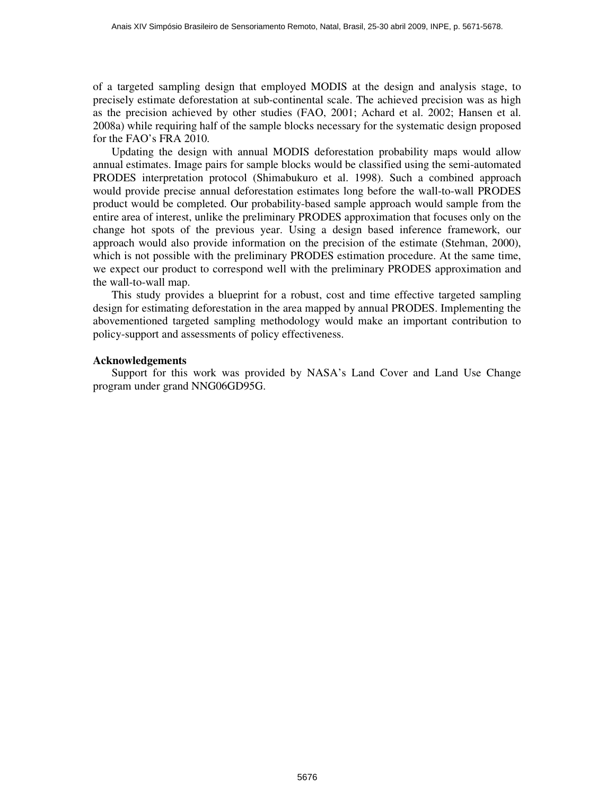of a targeted sampling design that employed MODIS at the design and analysis stage, to precisely estimate deforestation at sub-continental scale. The achieved precision was as high as the precision achieved by other studies (FAO, 2001; Achard et al. 2002; Hansen et al. 2008a) while requiring half of the sample blocks necessary for the systematic design proposed for the FAO's FRA 2010.

Updating the design with annual MODIS deforestation probability maps would allow annual estimates. Image pairs for sample blocks would be classified using the semi-automated PRODES interpretation protocol (Shimabukuro et al. 1998). Such a combined approach would provide precise annual deforestation estimates long before the wall-to-wall PRODES product would be completed. Our probability-based sample approach would sample from the entire area of interest, unlike the preliminary PRODES approximation that focuses only on the change hot spots of the previous year. Using a design based inference framework, our approach would also provide information on the precision of the estimate (Stehman, 2000), which is not possible with the preliminary PRODES estimation procedure. At the same time, we expect our product to correspond well with the preliminary PRODES approximation and the wall-to-wall map.

This study provides a blueprint for a robust, cost and time effective targeted sampling design for estimating deforestation in the area mapped by annual PRODES. Implementing the abovementioned targeted sampling methodology would make an important contribution to policy-support and assessments of policy effectiveness.

#### **Acknowledgements**

Support for this work was provided by NASA's Land Cover and Land Use Change program under grand NNG06GD95G.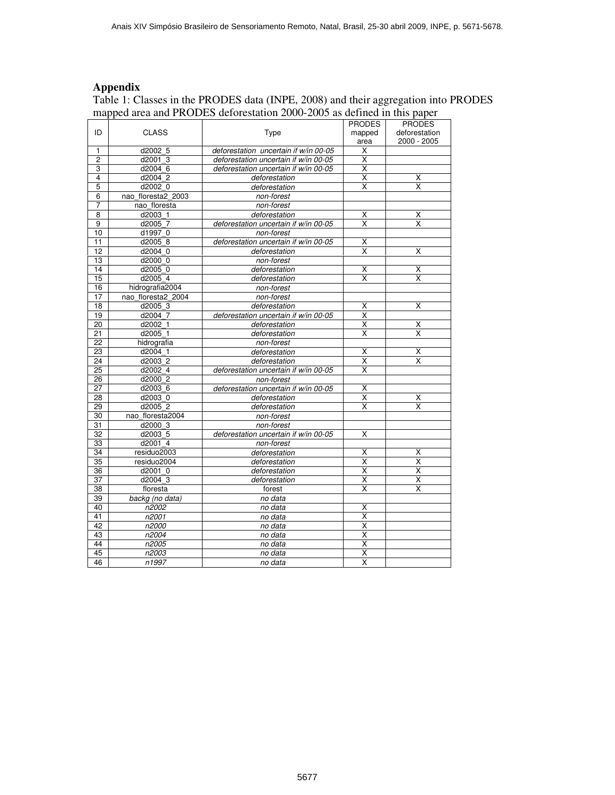# **Appendix**

Table 1: Classes in the PRODES data (INPE, 2008) and their aggregation into PRODES mapped area and PRODES deforestation 2000-2005 as defined in this paper

|                 |                    |                                       | <b>PRODES</b>           | <b>PRODES</b>           |
|-----------------|--------------------|---------------------------------------|-------------------------|-------------------------|
| ID              | <b>CLASS</b>       | Type                                  | mapped                  | deforestation           |
|                 |                    |                                       | area                    | 2000 - 2005             |
| 1               | d2002 5            | deforestation uncertain if w/in 00-05 | X                       |                         |
| 2               | d2001 3            | deforestation uncertain if w/in 00-05 | X                       |                         |
| 3               | d2004 6            | deforestation uncertain if w/in 00-05 | Χ                       |                         |
| 4               | d2004 2            | deforestation                         | X                       | х                       |
| 5               | d2002 0            | deforestation                         | X                       | X                       |
| 6               | nao floresta2 2003 | non-forest                            |                         |                         |
| 7               | nao floresta       | non-forest                            |                         |                         |
| 8               | d2003 1            | deforestation                         | Χ                       | Χ                       |
| 9               | d2005 7            | deforestation uncertain if w/in 00-05 | $\overline{\mathsf{x}}$ | $\overline{\mathsf{x}}$ |
| 10              | d1997 0            | non-forest                            |                         |                         |
| 11              | d2005 8            | deforestation uncertain if w/in 00-05 | $\overline{\mathsf{x}}$ |                         |
| 12              | d2004 0            | deforestation                         | $\overline{\mathsf{x}}$ | X                       |
| 13              | d2000 0            | non-forest                            |                         |                         |
| 14              | d2005 0            | deforestation                         | X                       | $\overline{\mathsf{x}}$ |
| 15              | d2005 4            | deforestation                         | $\overline{\mathsf{x}}$ | $\overline{\mathsf{x}}$ |
| 16              | hidrografia2004    | non-forest                            |                         |                         |
| 17              | nao floresta2 2004 | non-forest                            |                         |                         |
| 18              | d2005 3            | deforestation                         | Χ                       | X                       |
| 19              | d2004 7            | deforestation uncertain if w/in 00-05 | Χ                       |                         |
| 20              | d2002 1            | deforestation                         | $\overline{\mathsf{x}}$ | Χ                       |
| 21              | d2005 1            | deforestation                         | $\overline{\mathsf{x}}$ | X                       |
| 22              | hidrografia        | non-forest                            |                         |                         |
| 23              | d2004 1            | deforestation                         | X                       | X                       |
| 24              | d2003 2            | deforestation                         | X                       | X                       |
| 25              | d2002 4            | deforestation uncertain if w/in 00-05 | X                       |                         |
| 26              | d2000 2            | non-forest                            |                         |                         |
| $\overline{27}$ | d2003 6            | deforestation uncertain if w/in 00-05 | Χ                       |                         |
| 28              | d2003 0            | deforestation                         | $\overline{\mathsf{x}}$ | X                       |
| 29              | d2005 2            | deforestation                         | X                       | X                       |
| 30              | nao floresta2004   | non-forest                            |                         |                         |
| 31              | d2000 3            | non-forest                            |                         |                         |
| 32              | d2003 5            | deforestation uncertain if w/in 00-05 | X                       |                         |
| 33              | d2001 4            | non-forest                            |                         |                         |
| 34              | residuo2003        | deforestation                         | х                       | Х                       |
| 35              | residuo2004        | deforestation                         | X                       | X                       |
| 36              | d2001 0            | deforestation                         | $\overline{\mathsf{x}}$ | $\overline{\mathsf{x}}$ |
| 37              | d2004 3            | deforestation                         | $\overline{\mathsf{x}}$ | $\overline{\mathsf{x}}$ |
| 38              | floresta           | forest                                | $\overline{\mathsf{x}}$ | $\overline{\mathsf{x}}$ |
| 39              | backg (no data)    | no data                               |                         |                         |
| 40              | n2002              | no data                               | X                       |                         |
| 41              | n2001              | no data                               | X                       |                         |
| 42              | n2000              | no data                               | $\overline{\mathsf{x}}$ |                         |
| 43              | n2004              | no data                               | $\overline{\mathsf{x}}$ |                         |
| 44              | n2005              | no data                               | $\overline{\mathsf{x}}$ |                         |
| 45              | n2003              | no data                               | $\overline{\mathsf{x}}$ |                         |
| 46              | n1997              | no data                               | X                       |                         |